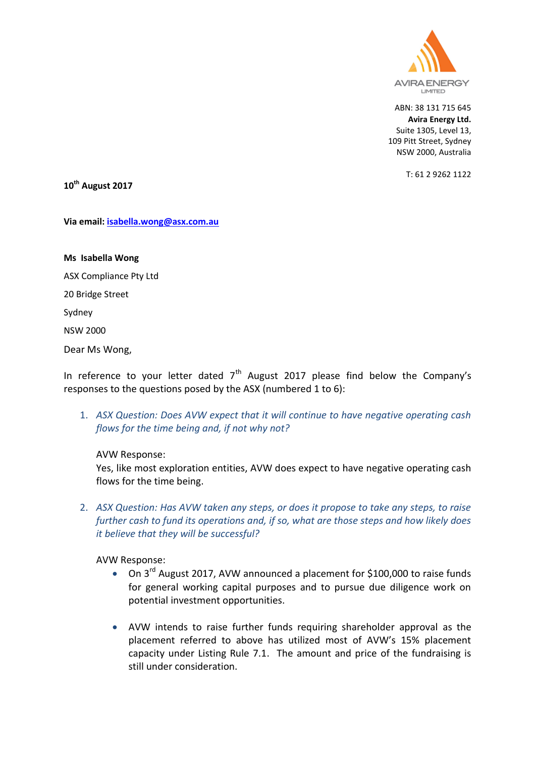

T: 61 2 9262 1122

**10th August 2017**

**Via email: [isabella.wong@asx.com.au](mailto:isabella.wong@asx.com.au)**

**Ms Isabella Wong** ASX Compliance Pty Ltd 20 Bridge Street Sydney NSW 2000 Dear Ms Wong,

In reference to your letter dated  $7<sup>th</sup>$  August 2017 please find below the Company's responses to the questions posed by the ASX (numbered 1 to 6):

1. *ASX Question: Does AVW expect that it will continue to have negative operating cash flows for the time being and, if not why not?*

AVW Response:

Yes, like most exploration entities, AVW does expect to have negative operating cash flows for the time being.

2. *ASX Question: Has AVW taken any steps, or does it propose to take any steps, to raise further cash to fund its operations and, if so, what are those steps and how likely does it believe that they will be successful?*

AVW Response:

- On  $3^{\text{rd}}$  August 2017, AVW announced a placement for \$100,000 to raise funds for general working capital purposes and to pursue due diligence work on potential investment opportunities.
- AVW intends to raise further funds requiring shareholder approval as the placement referred to above has utilized most of AVW's 15% placement capacity under Listing Rule 7.1. The amount and price of the fundraising is still under consideration.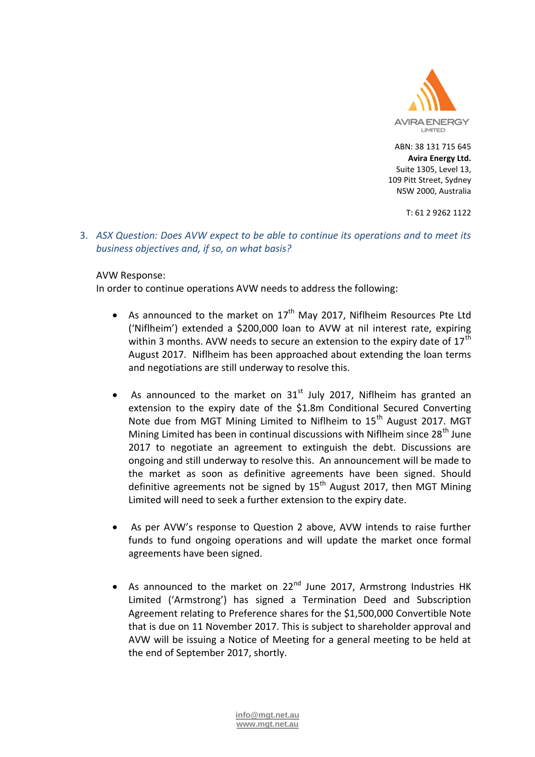

T: 61 2 9262 1122

3. *ASX Question: Does AVW expect to be able to continue its operations and to meet its business objectives and, if so, on what basis?*

### AVW Response:

In order to continue operations AVW needs to address the following:

- As announced to the market on  $17<sup>th</sup>$  May 2017, Niflheim Resources Pte Ltd ('Niflheim') extended a \$200,000 loan to AVW at nil interest rate, expiring within 3 months. AVW needs to secure an extension to the expiry date of  $17<sup>th</sup>$ August 2017. Niflheim has been approached about extending the loan terms and negotiations are still underway to resolve this.
- As announced to the market on  $31<sup>st</sup>$  July 2017, Niflheim has granted an extension to the expiry date of the \$1.8m Conditional Secured Converting Note due from MGT Mining Limited to Niflheim to 15<sup>th</sup> August 2017. MGT Mining Limited has been in continual discussions with Niflheim since  $28<sup>th</sup>$  June 2017 to negotiate an agreement to extinguish the debt. Discussions are ongoing and still underway to resolve this. An announcement will be made to the market as soon as definitive agreements have been signed. Should definitive agreements not be signed by  $15<sup>th</sup>$  August 2017, then MGT Mining Limited will need to seek a further extension to the expiry date.
- As per AVW's response to Question 2 above, AVW intends to raise further funds to fund ongoing operations and will update the market once formal agreements have been signed.
- As announced to the market on  $22^{nd}$  June 2017, Armstrong Industries HK Limited ('Armstrong') has signed a Termination Deed and Subscription Agreement relating to Preference shares for the \$1,500,000 Convertible Note that is due on 11 November 2017. This is subject to shareholder approval and AVW will be issuing a Notice of Meeting for a general meeting to be held at the end of September 2017, shortly.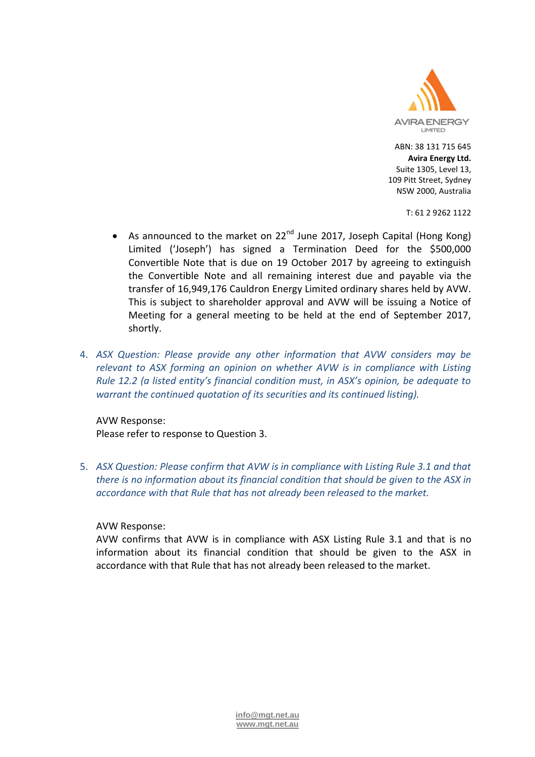

T: 61 2 9262 1122

- As announced to the market on  $22^{nd}$  June 2017, Joseph Capital (Hong Kong) Limited ('Joseph') has signed a Termination Deed for the \$500,000 Convertible Note that is due on 19 October 2017 by agreeing to extinguish the Convertible Note and all remaining interest due and payable via the transfer of 16,949,176 Cauldron Energy Limited ordinary shares held by AVW. This is subject to shareholder approval and AVW will be issuing a Notice of Meeting for a general meeting to be held at the end of September 2017, shortly.
- 4. *ASX Question: Please provide any other information that AVW considers may be relevant to ASX forming an opinion on whether AVW is in compliance with Listing Rule 12.2 (a listed entity's financial condition must, in ASX's opinion, be adequate to warrant the continued quotation of its securities and its continued listing).*

# AVW Response:

Please refer to response to Question 3.

5. *ASX Question: Please confirm that AVW is in compliance with Listing Rule 3.1 and that there is no information about its financial condition that should be given to the ASX in accordance with that Rule that has not already been released to the market.*

### AVW Response:

AVW confirms that AVW is in compliance with ASX Listing Rule 3.1 and that is no information about its financial condition that should be given to the ASX in accordance with that Rule that has not already been released to the market.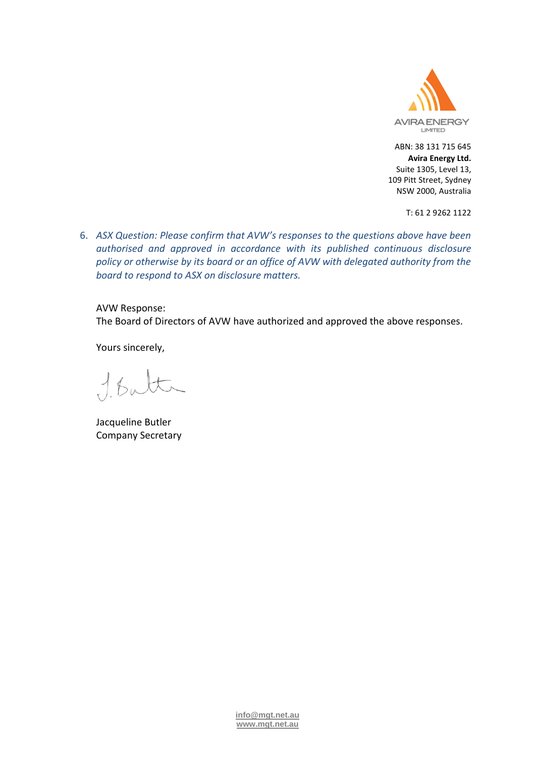

T: 61 2 9262 1122

6. *ASX Question: Please confirm that AVW's responses to the questions above have been authorised and approved in accordance with its published continuous disclosure policy or otherwise by its board or an office of AVW with delegated authority from the board to respond to ASX on disclosure matters.*

AVW Response:

The Board of Directors of AVW have authorized and approved the above responses.

Yours sincerely,

 $16<sub>u</sub>$ 

Jacqueline Butler Company Secretary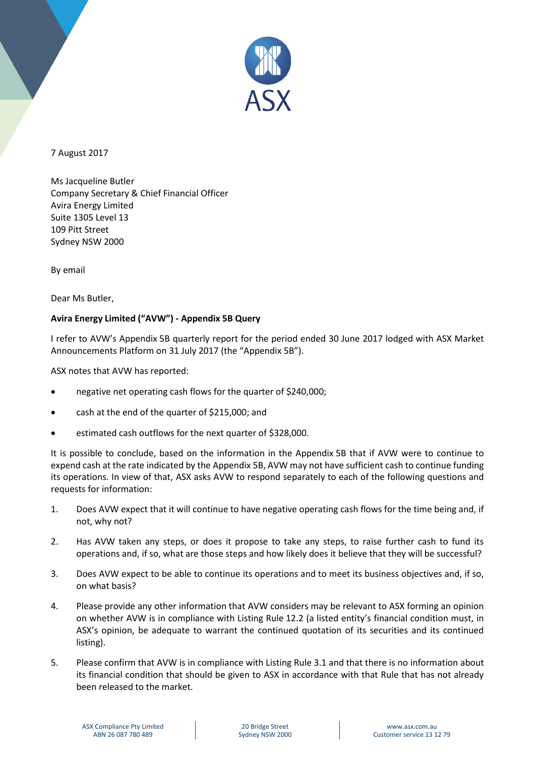

7 August 2017

Ms Jacqueline Butler Company Secretary & Chief Financial Officer Avira Energy Limited Suite 1305 Level 13 109 Pitt Street Sydney NSW 2000

By email

Dear Ms Butler,

# **Avira Energy Limited ("AVW") - Appendix 5B Query**

I refer to AVW's Appendix 5B quarterly report for the period ended 30 June 2017 lodged with ASX Market Announcements Platform on 31 July 2017 (the "Appendix 5B").

ASX notes that AVW has reported:

- negative net operating cash flows for the quarter of \$240,000;
- cash at the end of the quarter of \$215,000; and
- estimated cash outflows for the next quarter of \$328,000.

It is possible to conclude, based on the information in the Appendix 5B that if AVW were to continue to expend cash at the rate indicated by the Appendix 5B, AVW may not have sufficient cash to continue funding its operations. In view of that, ASX asks AVW to respond separately to each of the following questions and requests for information:

- 1. Does AVW expect that it will continue to have negative operating cash flows for the time being and, if not, why not?
- 2. Has AVW taken any steps, or does it propose to take any steps, to raise further cash to fund its operations and, if so, what are those steps and how likely does it believe that they will be successful?
- 3. Does AVW expect to be able to continue its operations and to meet its business objectives and, if so, on what basis?
- 4. Please provide any other information that AVW considers may be relevant to ASX forming an opinion on whether AVW is in compliance with Listing Rule 12.2 (a listed entity's financial condition must, in ASX's opinion, be adequate to warrant the continued quotation of its securities and its continued listing).
- 5. Please confirm that AVW is in compliance with Listing Rule 3.1 and that there is no information about its financial condition that should be given to ASX in accordance with that Rule that has not already been released to the market.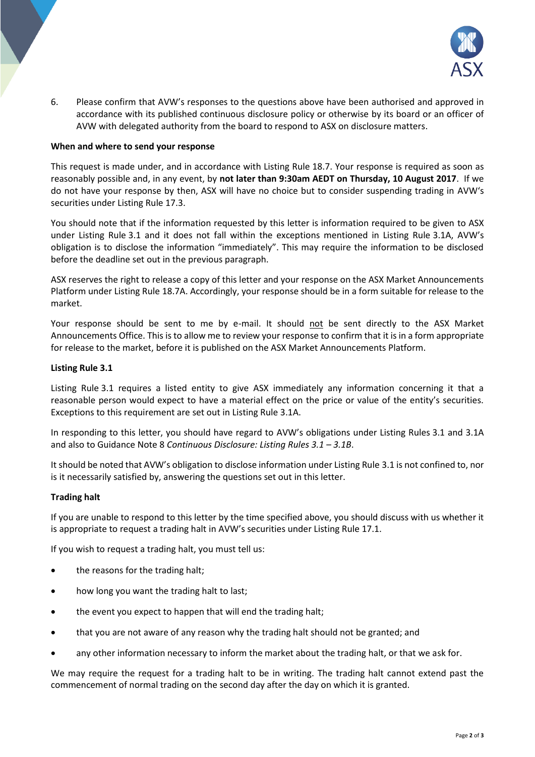

6. Please confirm that AVW's responses to the questions above have been authorised and approved in accordance with its published continuous disclosure policy or otherwise by its board or an officer of AVW with delegated authority from the board to respond to ASX on disclosure matters.

#### **When and where to send your response**

This request is made under, and in accordance with Listing Rule 18.7. Your response is required as soon as reasonably possible and, in any event, by **not later than 9:30am AEDT on Thursday, 10 August 2017**. If we do not have your response by then, ASX will have no choice but to consider suspending trading in AVW's securities under Listing Rule 17.3.

You should note that if the information requested by this letter is information required to be given to ASX under Listing Rule 3.1 and it does not fall within the exceptions mentioned in Listing Rule 3.1A, AVW's obligation is to disclose the information "immediately". This may require the information to be disclosed before the deadline set out in the previous paragraph.

ASX reserves the right to release a copy of this letter and your response on the ASX Market Announcements Platform under Listing Rule 18.7A. Accordingly, your response should be in a form suitable for release to the market.

Your response should be sent to me by e-mail. It should not be sent directly to the ASX Market Announcements Office. This is to allow me to review your response to confirm that it is in a form appropriate for release to the market, before it is published on the ASX Market Announcements Platform.

#### **Listing Rule 3.1**

Listing Rule 3.1 requires a listed entity to give ASX immediately any information concerning it that a reasonable person would expect to have a material effect on the price or value of the entity's securities. Exceptions to this requirement are set out in Listing Rule 3.1A.

In responding to this letter, you should have regard to AVW's obligations under Listing Rules 3.1 and 3.1A and also to Guidance Note 8 *Continuous Disclosure: Listing Rules 3.1 – 3.1B*.

It should be noted that AVW's obligation to disclose information under Listing Rule 3.1 is not confined to, nor is it necessarily satisfied by, answering the questions set out in this letter.

#### **Trading halt**

If you are unable to respond to this letter by the time specified above, you should discuss with us whether it is appropriate to request a trading halt in AVW's securities under Listing Rule 17.1.

If you wish to request a trading halt, you must tell us:

- the reasons for the trading halt;
- how long you want the trading halt to last;
- the event you expect to happen that will end the trading halt;
- that you are not aware of any reason why the trading halt should not be granted; and
- any other information necessary to inform the market about the trading halt, or that we ask for.

We may require the request for a trading halt to be in writing. The trading halt cannot extend past the commencement of normal trading on the second day after the day on which it is granted.